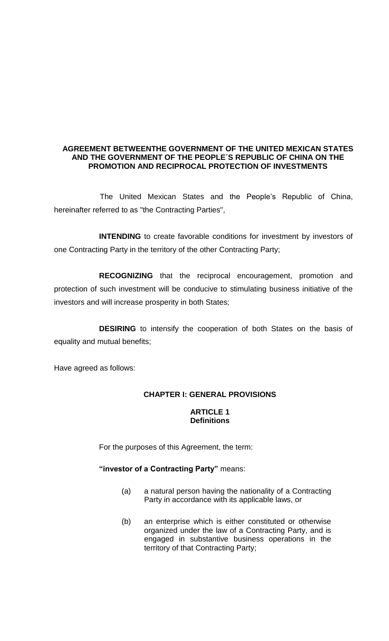#### **AGREEMENT BETWEENTHE GOVERNMENT OF THE UNITED MEXICAN STATES AND THE GOVERNMENT OF THE PEOPLE´S REPUBLIC OF CHINA ON THE PROMOTION AND RECIPROCAL PROTECTION OF INVESTMENTS**

The United Mexican States and the People's Republic of China, hereinafter referred to as "the Contracting Parties",

**INTENDING** to create favorable conditions for investment by investors of one Contracting Party in the territory of the other Contracting Party;

**RECOGNIZING** that the reciprocal encouragement, promotion and protection of such investment will be conducive to stimulating business initiative of the investors and will increase prosperity in both States;

**DESIRING** to intensify the cooperation of both States on the basis of equality and mutual benefits;

Have agreed as follows:

## **CHAPTER I: GENERAL PROVISIONS**

#### **ARTICLE 1 Definitions**

For the purposes of this Agreement, the term:

#### **"investor of a Contracting Party"** means:

- (a) a natural person having the nationality of a Contracting Party in accordance with its applicable laws, or
- (b) an enterprise which is either constituted or otherwise organized under the law of a Contracting Party, and is engaged in substantive business operations in the territory of that Contracting Party;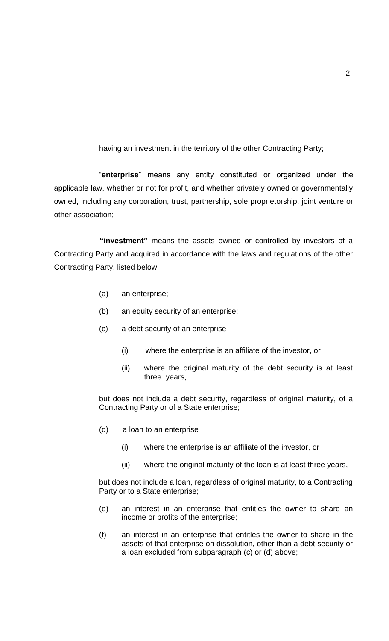having an investment in the territory of the other Contracting Party;

"**enterprise**" means any entity constituted or organized under the applicable law, whether or not for profit, and whether privately owned or governmentally owned, including any corporation, trust, partnership, sole proprietorship, joint venture or other association;

**"investment"** means the assets owned or controlled by investors of a Contracting Party and acquired in accordance with the laws and regulations of the other Contracting Party, listed below:

- (a) an enterprise;
- (b) an equity security of an enterprise;
- (c) a debt security of an enterprise
	- (i) where the enterprise is an affiliate of the investor, or
	- (ii) where the original maturity of the debt security is at least three years,

but does not include a debt security, regardless of original maturity, of a Contracting Party or of a State enterprise;

- (d) a loan to an enterprise
	- (i) where the enterprise is an affiliate of the investor, or
	- (ii) where the original maturity of the loan is at least three years,

but does not include a loan, regardless of original maturity, to a Contracting Party or to a State enterprise;

- (e) an interest in an enterprise that entitles the owner to share an income or profits of the enterprise;
- (f) an interest in an enterprise that entitles the owner to share in the assets of that enterprise on dissolution, other than a debt security or a loan excluded from subparagraph (c) or (d) above;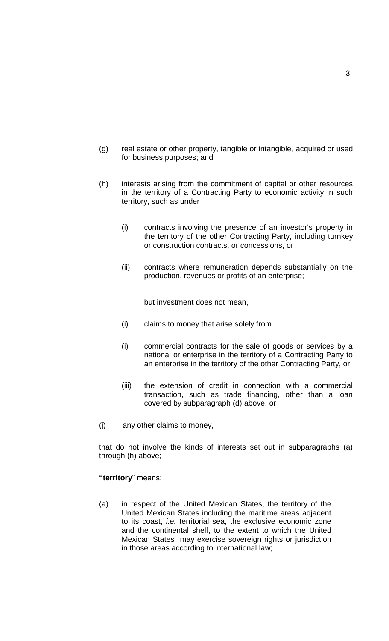- (g) real estate or other property, tangible or intangible, acquired or used for business purposes; and
- (h) interests arising from the commitment of capital or other resources in the territory of a Contracting Party to economic activity in such territory, such as under
	- (i) contracts involving the presence of an investor's property in the territory of the other Contracting Party, including turnkey or construction contracts, or concessions, or
	- (ii) contracts where remuneration depends substantially on the production, revenues or profits of an enterprise;

but investment does not mean,

- (i) claims to money that arise solely from
- (i) commercial contracts for the sale of goods or services by a national or enterprise in the territory of a Contracting Party to an enterprise in the territory of the other Contracting Party, or
- (iii) the extension of credit in connection with a commercial transaction, such as trade financing, other than a loan covered by subparagraph (d) above, or
- (j) any other claims to money,

that do not involve the kinds of interests set out in subparagraphs (a) through (h) above;

### **"territory**" means:

(a) in respect of the United Mexican States, the territory of the United Mexican States including the maritime areas adjacent to its coast, *i.e.* territorial sea, the exclusive economic zone and the continental shelf, to the extent to which the United Mexican States may exercise sovereign rights or jurisdiction in those areas according to international law;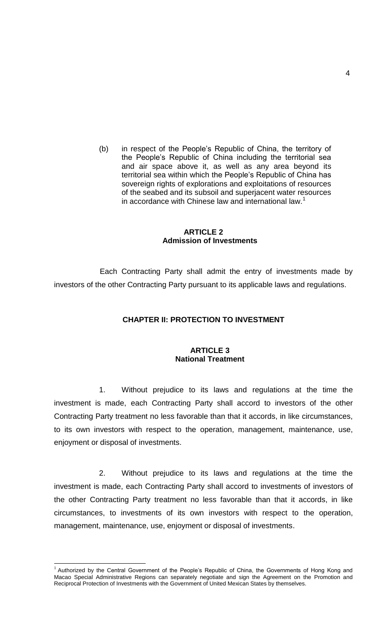(b) in respect of the People's Republic of China, the territory of the People's Republic of China including the territorial sea and air space above it, as well as any area beyond its territorial sea within which the People's Republic of China has sovereign rights of explorations and exploitations of resources of the seabed and its subsoil and superjacent water resources in accordance with Chinese law and international law.<sup>1</sup>

#### **ARTICLE 2 Admission of Investments**

Each Contracting Party shall admit the entry of investments made by investors of the other Contracting Party pursuant to its applicable laws and regulations.

## **CHAPTER II: PROTECTION TO INVESTMENT**

#### **ARTICLE 3 National Treatment**

1. Without prejudice to its laws and regulations at the time the investment is made, each Contracting Party shall accord to investors of the other Contracting Party treatment no less favorable than that it accords, in like circumstances, to its own investors with respect to the operation, management, maintenance, use, enjoyment or disposal of investments.

2. Without prejudice to its laws and regulations at the time the investment is made, each Contracting Party shall accord to investments of investors of the other Contracting Party treatment no less favorable than that it accords, in like circumstances, to investments of its own investors with respect to the operation, management, maintenance, use, enjoyment or disposal of investments.

1

 $1$  Authorized by the Central Government of the People's Republic of China, the Governments of Hong Kong and Macao Special Administrative Regions can separately negotiate and sign the Agreement on the Promotion and Reciprocal Protection of Investments with the Government of United Mexican States by themselves.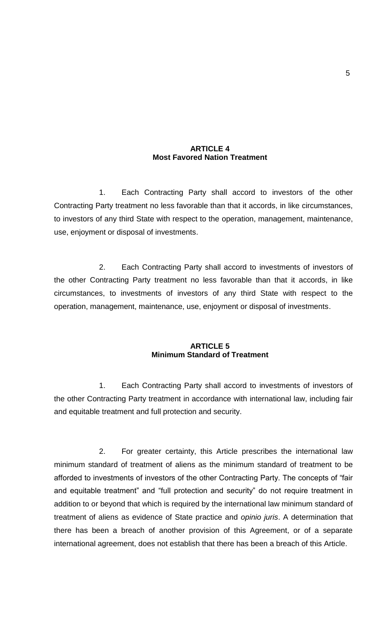#### **ARTICLE 4 Most Favored Nation Treatment**

1. Each Contracting Party shall accord to investors of the other Contracting Party treatment no less favorable than that it accords, in like circumstances, to investors of any third State with respect to the operation, management, maintenance, use, enjoyment or disposal of investments.

2. Each Contracting Party shall accord to investments of investors of the other Contracting Party treatment no less favorable than that it accords, in like circumstances, to investments of investors of any third State with respect to the operation, management, maintenance, use, enjoyment or disposal of investments.

### **ARTICLE 5 Minimum Standard of Treatment**

1. Each Contracting Party shall accord to investments of investors of the other Contracting Party treatment in accordance with international law, including fair and equitable treatment and full protection and security.

2. For greater certainty, this Article prescribes the international law minimum standard of treatment of aliens as the minimum standard of treatment to be afforded to investments of investors of the other Contracting Party. The concepts of "fair and equitable treatment" and "full protection and security" do not require treatment in addition to or beyond that which is required by the international law minimum standard of treatment of aliens as evidence of State practice and *opinio juris*. A determination that there has been a breach of another provision of this Agreement, or of a separate international agreement, does not establish that there has been a breach of this Article.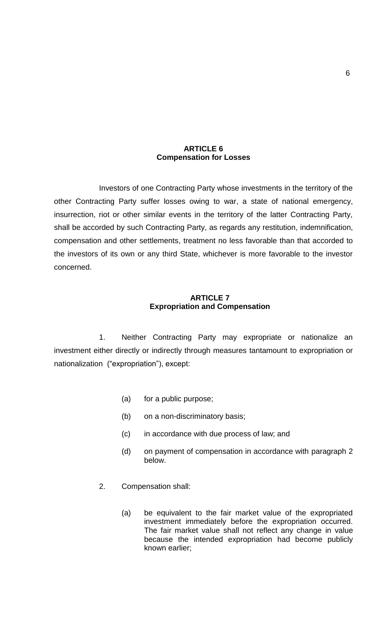#### **ARTICLE 6 Compensation for Losses**

Investors of one Contracting Party whose investments in the territory of the other Contracting Party suffer losses owing to war, a state of national emergency, insurrection, riot or other similar events in the territory of the latter Contracting Party, shall be accorded by such Contracting Party, as regards any restitution, indemnification, compensation and other settlements, treatment no less favorable than that accorded to the investors of its own or any third State, whichever is more favorable to the investor concerned.

### **ARTICLE 7 Expropriation and Compensation**

1. Neither Contracting Party may expropriate or nationalize an investment either directly or indirectly through measures tantamount to expropriation or nationalization ("expropriation"), except:

- (a) for a public purpose;
- (b) on a non-discriminatory basis;
- (c) in accordance with due process of law; and
- (d) on payment of compensation in accordance with paragraph 2 below.
- 2. Compensation shall:
	- (a) be equivalent to the fair market value of the expropriated investment immediately before the expropriation occurred. The fair market value shall not reflect any change in value because the intended expropriation had become publicly known earlier;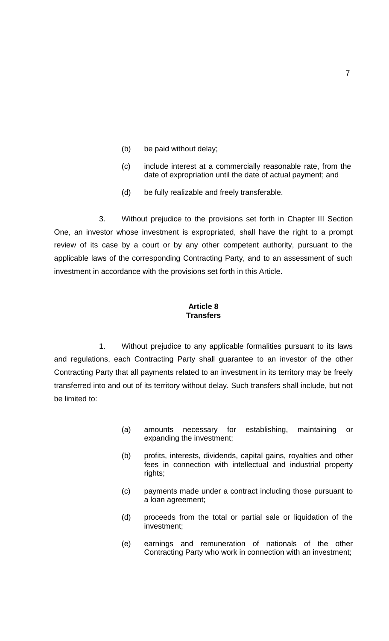- (b) be paid without delay;
- (c) include interest at a commercially reasonable rate, from the date of expropriation until the date of actual payment; and
- (d) be fully realizable and freely transferable.

3. Without prejudice to the provisions set forth in Chapter III Section One, an investor whose investment is expropriated, shall have the right to a prompt review of its case by a court or by any other competent authority, pursuant to the applicable laws of the corresponding Contracting Party, and to an assessment of such investment in accordance with the provisions set forth in this Article.

#### **Article 8 Transfers**

1. Without prejudice to any applicable formalities pursuant to its laws and regulations, each Contracting Party shall guarantee to an investor of the other Contracting Party that all payments related to an investment in its territory may be freely transferred into and out of its territory without delay. Such transfers shall include, but not be limited to:

- (a) amounts necessary for establishing, maintaining or expanding the investment;
- (b) profits, interests, dividends, capital gains, royalties and other fees in connection with intellectual and industrial property rights;
- (c) payments made under a contract including those pursuant to a loan agreement;
- (d) proceeds from the total or partial sale or liquidation of the investment;
- (e) earnings and remuneration of nationals of the other Contracting Party who work in connection with an investment;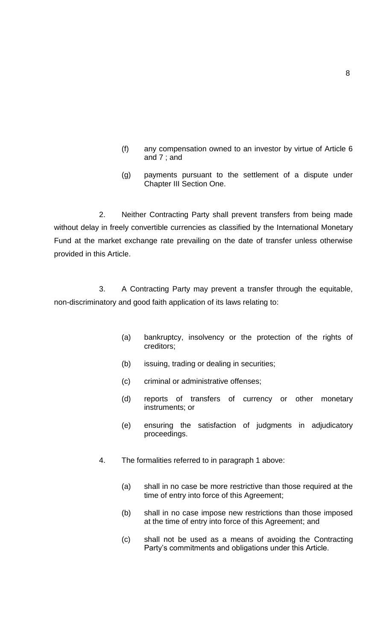- (f) any compensation owned to an investor by virtue of Article 6 and 7 ; and
- (g) payments pursuant to the settlement of a dispute under Chapter III Section One.

2. Neither Contracting Party shall prevent transfers from being made without delay in freely convertible currencies as classified by the International Monetary Fund at the market exchange rate prevailing on the date of transfer unless otherwise provided in this Article.

3. A Contracting Party may prevent a transfer through the equitable, non-discriminatory and good faith application of its laws relating to:

- (a) bankruptcy, insolvency or the protection of the rights of creditors;
- (b) issuing, trading or dealing in securities;
- (c) criminal or administrative offenses;
- (d) reports of transfers of currency or other monetary instruments; or
- (e) ensuring the satisfaction of judgments in adjudicatory proceedings.
- 4. The formalities referred to in paragraph 1 above:
	- (a) shall in no case be more restrictive than those required at the time of entry into force of this Agreement;
	- (b) shall in no case impose new restrictions than those imposed at the time of entry into force of this Agreement; and
	- (c) shall not be used as a means of avoiding the Contracting Party's commitments and obligations under this Article.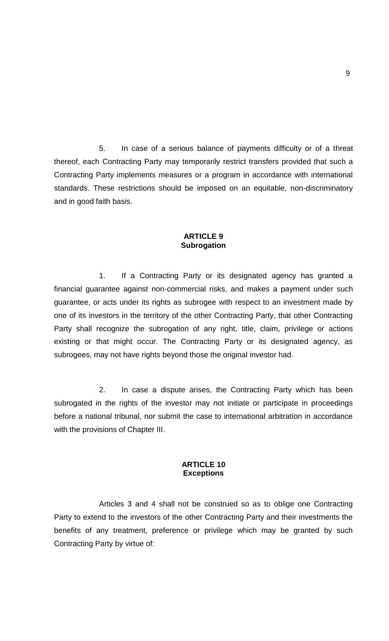5. In case of a serious balance of payments difficulty or of a threat thereof, each Contracting Party may temporarily restrict transfers provided that such a Contracting Party implements measures or a program in accordance with international standards. These restrictions should be imposed on an equitable, non-discriminatory and in good faith basis.

#### **ARTICLE 9 Subrogation**

1. If a Contracting Party or its designated agency has granted a financial guarantee against non-commercial risks, and makes a payment under such guarantee, or acts under its rights as subrogee with respect to an investment made by one of its investors in the territory of the other Contracting Party, that other Contracting Party shall recognize the subrogation of any right, title, claim, privilege or actions existing or that might occur. The Contracting Party or its designated agency, as subrogees, may not have rights beyond those the original investor had.

2. In case a dispute arises, the Contracting Party which has been subrogated in the rights of the investor may not initiate or participate in proceedings before a national tribunal, nor submit the case to international arbitration in accordance with the provisions of Chapter III.

## **ARTICLE 10 Exceptions**

Articles 3 and 4 shall not be construed so as to oblige one Contracting Party to extend to the investors of the other Contracting Party and their investments the benefits of any treatment, preference or privilege which may be granted by such Contracting Party by virtue of: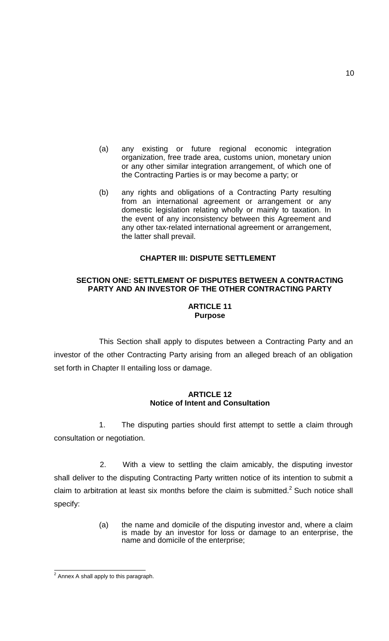- (a) any existing or future regional economic integration organization, free trade area, customs union, monetary union or any other similar integration arrangement, of which one of the Contracting Parties is or may become a party; or
- (b) any rights and obligations of a Contracting Party resulting from an international agreement or arrangement or any domestic legislation relating wholly or mainly to taxation. In the event of any inconsistency between this Agreement and any other tax-related international agreement or arrangement, the latter shall prevail.

#### **CHAPTER III: DISPUTE SETTLEMENT**

#### **SECTION ONE: SETTLEMENT OF DISPUTES BETWEEN A CONTRACTING PARTY AND AN INVESTOR OF THE OTHER CONTRACTING PARTY**

## **ARTICLE 11 Purpose**

This Section shall apply to disputes between a Contracting Party and an investor of the other Contracting Party arising from an alleged breach of an obligation set forth in Chapter II entailing loss or damage.

## **ARTICLE 12 Notice of Intent and Consultation**

1. The disputing parties should first attempt to settle a claim through consultation or negotiation.

2. With a view to settling the claim amicably, the disputing investor shall deliver to the disputing Contracting Party written notice of its intention to submit a claim to arbitration at least six months before the claim is submitted.<sup>2</sup> Such notice shall specify:

> (a) the name and domicile of the disputing investor and, where a claim is made by an investor for loss or damage to an enterprise, the name and domicile of the enterprise;

 2 Annex A shall apply to this paragraph.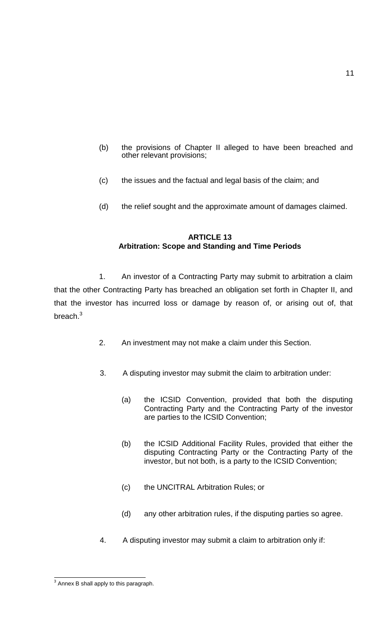- (b) the provisions of Chapter II alleged to have been breached and other relevant provisions;
- (c) the issues and the factual and legal basis of the claim; and
- (d) the relief sought and the approximate amount of damages claimed.

## **ARTICLE 13 Arbitration: Scope and Standing and Time Periods**

1. An investor of a Contracting Party may submit to arbitration a claim that the other Contracting Party has breached an obligation set forth in Chapter II, and that the investor has incurred loss or damage by reason of, or arising out of, that breach. $3$ 

- 2. An investment may not make a claim under this Section.
- 3. A disputing investor may submit the claim to arbitration under:
	- (a) the ICSID Convention, provided that both the disputing Contracting Party and the Contracting Party of the investor are parties to the ICSID Convention;
	- (b) the ICSID Additional Facility Rules, provided that either the disputing Contracting Party or the Contracting Party of the investor, but not both, is a party to the ICSID Convention;
	- (c) the UNCITRAL Arbitration Rules; or
	- (d) any other arbitration rules, if the disputing parties so agree.
- 4. A disputing investor may submit a claim to arbitration only if:

 3 Annex B shall apply to this paragraph.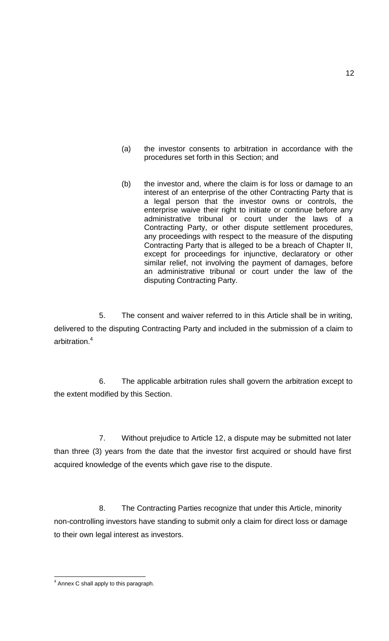- (a) the investor consents to arbitration in accordance with the procedures set forth in this Section; and
- (b) the investor and, where the claim is for loss or damage to an interest of an enterprise of the other Contracting Party that is a legal person that the investor owns or controls, the enterprise waive their right to initiate or continue before any administrative tribunal or court under the laws of a Contracting Party, or other dispute settlement procedures, any proceedings with respect to the measure of the disputing Contracting Party that is alleged to be a breach of Chapter II, except for proceedings for injunctive, declaratory or other similar relief, not involving the payment of damages, before an administrative tribunal or court under the law of the disputing Contracting Party.

5. The consent and waiver referred to in this Article shall be in writing, delivered to the disputing Contracting Party and included in the submission of a claim to arbitration.<sup>4</sup>

6. The applicable arbitration rules shall govern the arbitration except to the extent modified by this Section.

7. Without prejudice to Article 12, a dispute may be submitted not later than three (3) years from the date that the investor first acquired or should have first acquired knowledge of the events which gave rise to the dispute.

8. The Contracting Parties recognize that under this Article, minority non-controlling investors have standing to submit only a claim for direct loss or damage to their own legal interest as investors.

 4 Annex C shall apply to this paragraph.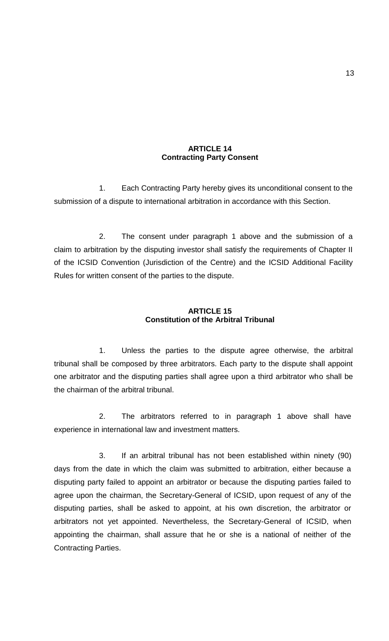### **ARTICLE 14 Contracting Party Consent**

1. Each Contracting Party hereby gives its unconditional consent to the submission of a dispute to international arbitration in accordance with this Section.

2. The consent under paragraph 1 above and the submission of a claim to arbitration by the disputing investor shall satisfy the requirements of Chapter II of the ICSID Convention (Jurisdiction of the Centre) and the ICSID Additional Facility Rules for written consent of the parties to the dispute.

## **ARTICLE 15 Constitution of the Arbitral Tribunal**

1. Unless the parties to the dispute agree otherwise, the arbitral tribunal shall be composed by three arbitrators. Each party to the dispute shall appoint one arbitrator and the disputing parties shall agree upon a third arbitrator who shall be the chairman of the arbitral tribunal.

2. The arbitrators referred to in paragraph 1 above shall have experience in international law and investment matters.

3. If an arbitral tribunal has not been established within ninety (90) days from the date in which the claim was submitted to arbitration, either because a disputing party failed to appoint an arbitrator or because the disputing parties failed to agree upon the chairman, the Secretary-General of ICSID, upon request of any of the disputing parties, shall be asked to appoint, at his own discretion, the arbitrator or arbitrators not yet appointed. Nevertheless, the Secretary-General of ICSID, when appointing the chairman, shall assure that he or she is a national of neither of the Contracting Parties.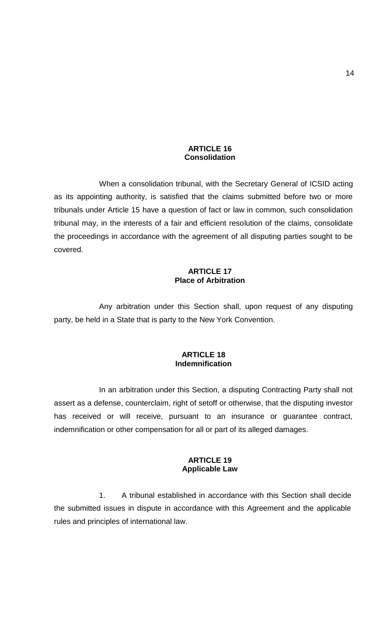#### **ARTICLE 16 Consolidation**

When a consolidation tribunal, with the Secretary General of ICSID acting as its appointing authority, is satisfied that the claims submitted before two or more tribunals under Article 15 have a question of fact or law in common, such consolidation tribunal may, in the interests of a fair and efficient resolution of the claims, consolidate the proceedings in accordance with the agreement of all disputing parties sought to be covered.

#### **ARTICLE 17 Place of Arbitration**

Any arbitration under this Section shall, upon request of any disputing party, be held in a State that is party to the New York Convention.

### **ARTICLE 18 Indemnification**

In an arbitration under this Section, a disputing Contracting Party shall not assert as a defense, counterclaim, right of setoff or otherwise, that the disputing investor has received or will receive, pursuant to an insurance or guarantee contract, indemnification or other compensation for all or part of its alleged damages.

### **ARTICLE 19 Applicable Law**

1. A tribunal established in accordance with this Section shall decide the submitted issues in dispute in accordance with this Agreement and the applicable rules and principles of international law.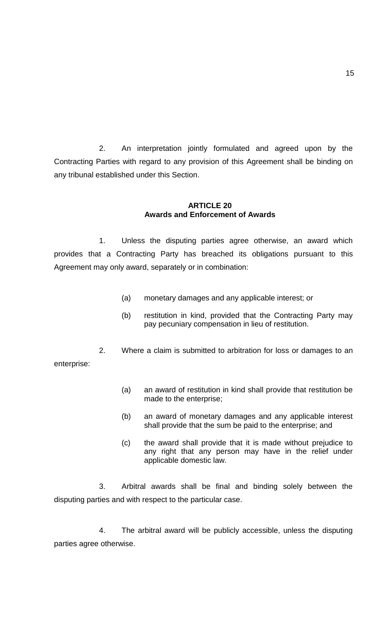2. An interpretation jointly formulated and agreed upon by the Contracting Parties with regard to any provision of this Agreement shall be binding on any tribunal established under this Section.

### **ARTICLE 20 Awards and Enforcement of Awards**

1. Unless the disputing parties agree otherwise, an award which provides that a Contracting Party has breached its obligations pursuant to this Agreement may only award, separately or in combination:

- (a) monetary damages and any applicable interest; or
- (b) restitution in kind, provided that the Contracting Party may pay pecuniary compensation in lieu of restitution.

2. Where a claim is submitted to arbitration for loss or damages to an enterprise:

- (a) an award of restitution in kind shall provide that restitution be made to the enterprise;
- (b) an award of monetary damages and any applicable interest shall provide that the sum be paid to the enterprise; and
- (c) the award shall provide that it is made without prejudice to any right that any person may have in the relief under applicable domestic law.

3. Arbitral awards shall be final and binding solely between the disputing parties and with respect to the particular case.

4. The arbitral award will be publicly accessible, unless the disputing parties agree otherwise.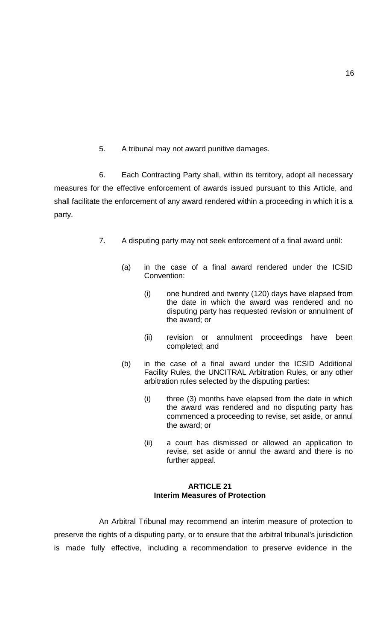5. A tribunal may not award punitive damages.

6. Each Contracting Party shall, within its territory, adopt all necessary measures for the effective enforcement of awards issued pursuant to this Article, and shall facilitate the enforcement of any award rendered within a proceeding in which it is a party.

- 7. A disputing party may not seek enforcement of a final award until:
	- (a) in the case of a final award rendered under the ICSID Convention:
		- (i) one hundred and twenty (120) days have elapsed from the date in which the award was rendered and no disputing party has requested revision or annulment of the award; or
		- (ii) revision or annulment proceedings have been completed; and
	- (b) in the case of a final award under the ICSID Additional Facility Rules, the UNCITRAL Arbitration Rules, or any other arbitration rules selected by the disputing parties:
		- (i) three (3) months have elapsed from the date in which the award was rendered and no disputing party has commenced a proceeding to revise, set aside, or annul the award; or
		- (ii) a court has dismissed or allowed an application to revise, set aside or annul the award and there is no further appeal.

### **ARTICLE 21 Interim Measures of Protection**

An Arbitral Tribunal may recommend an interim measure of protection to preserve the rights of a disputing party, or to ensure that the arbitral tribunal's jurisdiction is made fully effective, including a recommendation to preserve evidence in the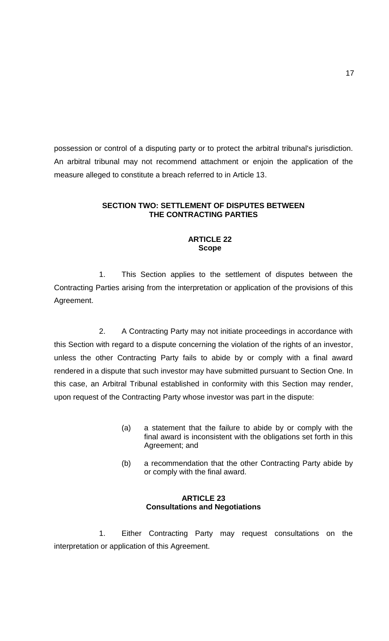possession or control of a disputing party or to protect the arbitral tribunal's jurisdiction. An arbitral tribunal may not recommend attachment or enjoin the application of the measure alleged to constitute a breach referred to in Article 13.

## **SECTION TWO: SETTLEMENT OF DISPUTES BETWEEN THE CONTRACTING PARTIES**

#### **ARTICLE 22 Scope**

1. This Section applies to the settlement of disputes between the Contracting Parties arising from the interpretation or application of the provisions of this Agreement.

2. A Contracting Party may not initiate proceedings in accordance with this Section with regard to a dispute concerning the violation of the rights of an investor, unless the other Contracting Party fails to abide by or comply with a final award rendered in a dispute that such investor may have submitted pursuant to Section One. In this case, an Arbitral Tribunal established in conformity with this Section may render, upon request of the Contracting Party whose investor was part in the dispute:

- (a) a statement that the failure to abide by or comply with the final award is inconsistent with the obligations set forth in this Agreement; and
- (b) a recommendation that the other Contracting Party abide by or comply with the final award.

### **ARTICLE 23 Consultations and Negotiations**

1. Either Contracting Party may request consultations on the interpretation or application of this Agreement.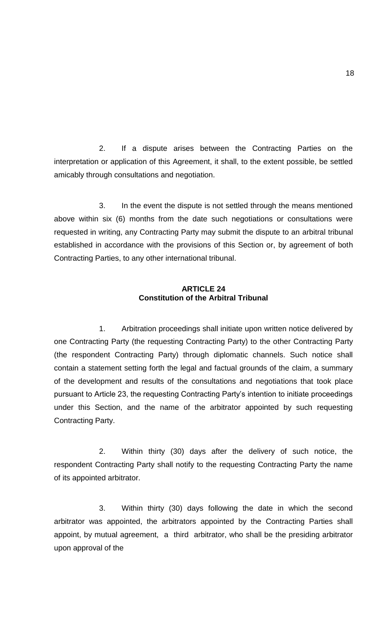2. If a dispute arises between the Contracting Parties on the interpretation or application of this Agreement, it shall, to the extent possible, be settled amicably through consultations and negotiation.

3. In the event the dispute is not settled through the means mentioned above within six (6) months from the date such negotiations or consultations were requested in writing, any Contracting Party may submit the dispute to an arbitral tribunal established in accordance with the provisions of this Section or, by agreement of both Contracting Parties, to any other international tribunal.

## **ARTICLE 24 Constitution of the Arbitral Tribunal**

1. Arbitration proceedings shall initiate upon written notice delivered by one Contracting Party (the requesting Contracting Party) to the other Contracting Party (the respondent Contracting Party) through diplomatic channels. Such notice shall contain a statement setting forth the legal and factual grounds of the claim, a summary of the development and results of the consultations and negotiations that took place pursuant to Article 23, the requesting Contracting Party's intention to initiate proceedings under this Section, and the name of the arbitrator appointed by such requesting Contracting Party.

2. Within thirty (30) days after the delivery of such notice, the respondent Contracting Party shall notify to the requesting Contracting Party the name of its appointed arbitrator.

3. Within thirty (30) days following the date in which the second arbitrator was appointed, the arbitrators appointed by the Contracting Parties shall appoint, by mutual agreement, a third arbitrator, who shall be the presiding arbitrator upon approval of the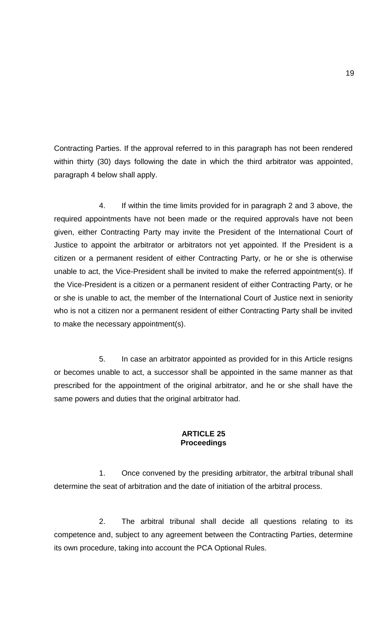Contracting Parties. If the approval referred to in this paragraph has not been rendered within thirty (30) days following the date in which the third arbitrator was appointed, paragraph 4 below shall apply.

4. If within the time limits provided for in paragraph 2 and 3 above, the required appointments have not been made or the required approvals have not been given, either Contracting Party may invite the President of the International Court of Justice to appoint the arbitrator or arbitrators not yet appointed. If the President is a citizen or a permanent resident of either Contracting Party, or he or she is otherwise unable to act, the Vice-President shall be invited to make the referred appointment(s). If the Vice-President is a citizen or a permanent resident of either Contracting Party, or he or she is unable to act, the member of the International Court of Justice next in seniority who is not a citizen nor a permanent resident of either Contracting Party shall be invited to make the necessary appointment(s).

5. In case an arbitrator appointed as provided for in this Article resigns or becomes unable to act, a successor shall be appointed in the same manner as that prescribed for the appointment of the original arbitrator, and he or she shall have the same powers and duties that the original arbitrator had.

### **ARTICLE 25 Proceedings**

1. Once convened by the presiding arbitrator, the arbitral tribunal shall determine the seat of arbitration and the date of initiation of the arbitral process.

2. The arbitral tribunal shall decide all questions relating to its competence and, subject to any agreement between the Contracting Parties, determine its own procedure, taking into account the PCA Optional Rules.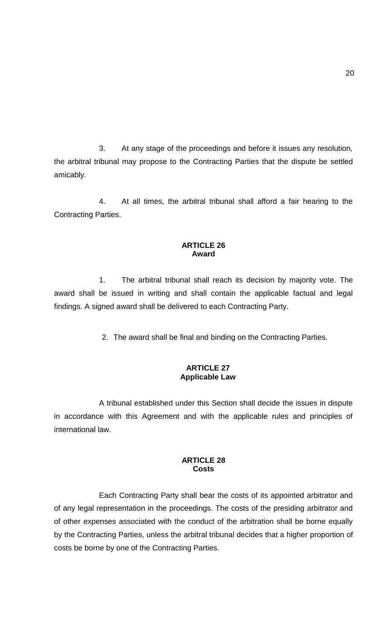3. At any stage of the proceedings and before it issues any resolution, the arbitral tribunal may propose to the Contracting Parties that the dispute be settled amicably.

4. At all times, the arbitral tribunal shall afford a fair hearing to the Contracting Parties.

#### **ARTICLE 26 Award**

1. The arbitral tribunal shall reach its decision by majority vote. The award shall be issued in writing and shall contain the applicable factual and legal findings. A signed award shall be delivered to each Contracting Party.

2. The award shall be final and binding on the Contracting Parties.

## **ARTICLE 27 Applicable Law**

A tribunal established under this Section shall decide the issues in dispute in accordance with this Agreement and with the applicable rules and principles of international law.

### **ARTICLE 28 Costs**

Each Contracting Party shall bear the costs of its appointed arbitrator and of any legal representation in the proceedings. The costs of the presiding arbitrator and of other expenses associated with the conduct of the arbitration shall be borne equally by the Contracting Parties, unless the arbitral tribunal decides that a higher proportion of costs be borne by one of the Contracting Parties.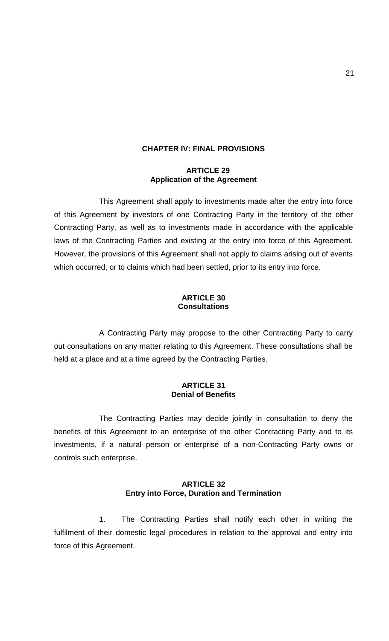# **CHAPTER IV: FINAL PROVISIONS**

#### **ARTICLE 29 Application of the Agreement**

This Agreement shall apply to investments made after the entry into force of this Agreement by investors of one Contracting Party in the territory of the other Contracting Party, as well as to investments made in accordance with the applicable laws of the Contracting Parties and existing at the entry into force of this Agreement. However, the provisions of this Agreement shall not apply to claims arising out of events which occurred, or to claims which had been settled, prior to its entry into force.

#### **ARTICLE 30 Consultations**

A Contracting Party may propose to the other Contracting Party to carry out consultations on any matter relating to this Agreement. These consultations shall be held at a place and at a time agreed by the Contracting Parties.

### **ARTICLE 31 Denial of Benefits**

The Contracting Parties may decide jointly in consultation to deny the benefits of this Agreement to an enterprise of the other Contracting Party and to its investments, if a natural person or enterprise of a non-Contracting Party owns or controls such enterprise.

### **ARTICLE 32 Entry into Force, Duration and Termination**

1. The Contracting Parties shall notify each other in writing the fulfilment of their domestic legal procedures in relation to the approval and entry into force of this Agreement.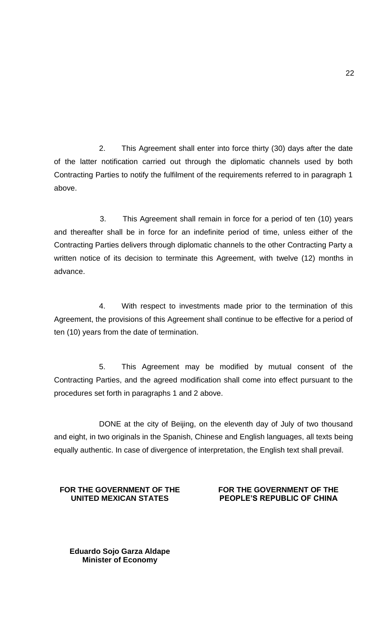2. This Agreement shall enter into force thirty (30) days after the date of the latter notification carried out through the diplomatic channels used by both Contracting Parties to notify the fulfilment of the requirements referred to in paragraph 1 above.

3. This Agreement shall remain in force for a period of ten (10) years and thereafter shall be in force for an indefinite period of time, unless either of the Contracting Parties delivers through diplomatic channels to the other Contracting Party a written notice of its decision to terminate this Agreement, with twelve (12) months in advance.

4. With respect to investments made prior to the termination of this Agreement, the provisions of this Agreement shall continue to be effective for a period of ten (10) years from the date of termination.

5. This Agreement may be modified by mutual consent of the Contracting Parties, and the agreed modification shall come into effect pursuant to the procedures set forth in paragraphs 1 and 2 above.

DONE at the city of Beijing, on the eleventh day of July of two thousand and eight, in two originals in the Spanish, Chinese and English languages, all texts being equally authentic. In case of divergence of interpretation, the English text shall prevail.

## **FOR THE GOVERNMENT OF THE UNITED MEXICAN STATES**

## **FOR THE GOVERNMENT OF THE PEOPLE'S REPUBLIC OF CHINA**

**Eduardo Sojo Garza Aldape Minister of Economy**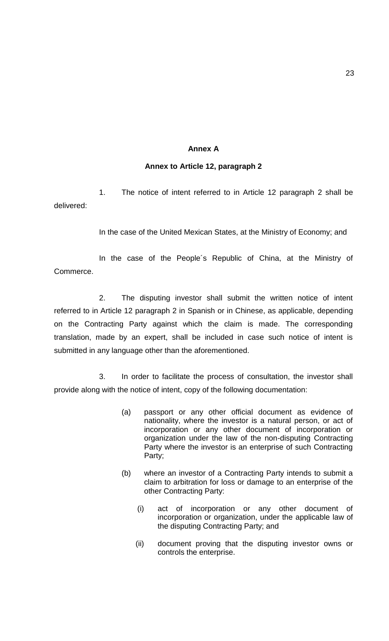#### **Annex A**

#### **Annex to Article 12, paragraph 2**

1. The notice of intent referred to in Article 12 paragraph 2 shall be delivered:

In the case of the United Mexican States, at the Ministry of Economy; and

In the case of the People´s Republic of China, at the Ministry of Commerce.

2. The disputing investor shall submit the written notice of intent referred to in Article 12 paragraph 2 in Spanish or in Chinese, as applicable, depending on the Contracting Party against which the claim is made. The corresponding translation, made by an expert, shall be included in case such notice of intent is submitted in any language other than the aforementioned.

3. In order to facilitate the process of consultation, the investor shall provide along with the notice of intent, copy of the following documentation:

- (a) passport or any other official document as evidence of nationality, where the investor is a natural person, or act of incorporation or any other document of incorporation or organization under the law of the non-disputing Contracting Party where the investor is an enterprise of such Contracting Party;
- (b) where an investor of a Contracting Party intends to submit a claim to arbitration for loss or damage to an enterprise of the other Contracting Party:
	- (i) act of incorporation or any other document of incorporation or organization, under the applicable law of the disputing Contracting Party; and
	- (ii) document proving that the disputing investor owns or controls the enterprise.